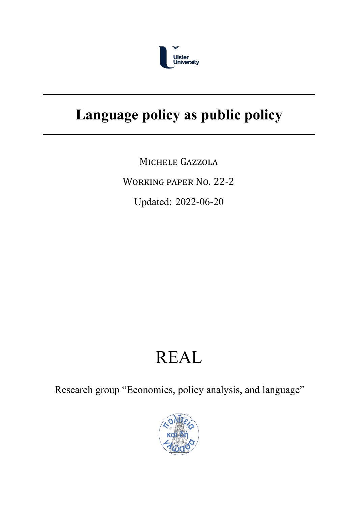

## **Language policy as public policy**

MICHELE GAZZOLA

WORKING PAPER NO. [2](#page-2-0)2‐2

Updated: 2022-06-20

# REAL

Research group "Economics, policy analysis, and language"

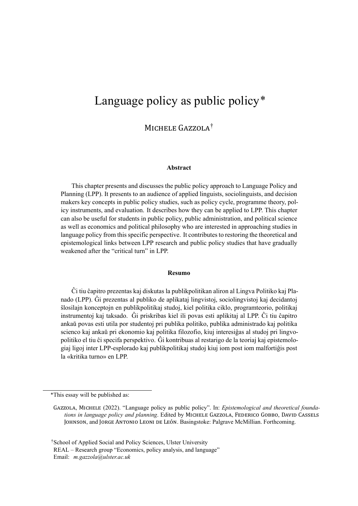### Language policy as public policy\*

MICHELE GAZZOLA<sup>†</sup>

#### **Abstract**

This chapter presents and discusses the public policy approach to Language Policy and Planning (LPP). It presents to an audience of applied linguists, sociolinguists, and decision makers key concepts in public policy studies, such as policy cycle, programme theory, policy instruments, and evaluation. It describes how they can be applied to LPP. This chapter can also be useful for students in public policy, public administration, and political science as well as economics and political philosophy who are interested in approaching studies in language policy from this specific perspective. It contributes to restoring the theoretical and epistemological links between LPP research and public policy studies that have gradually weakened after the "critical turn" in LPP.

#### **Resumo**

Ĉi tiu ĉapitro prezentas kaj diskutas la publikpolitikan aliron al Lingva Politiko kaj Planado (LPP). Ĝi prezentas al publiko de aplikataj lingvistoj, sociolingvistoj kaj decidantoj ŝlosilajn konceptojn en publikpolitikaj studoj, kiel politika ciklo, programteorio, politikaj instrumentoj kaj taksado. Ĝi priskribas kiel ili povas esti aplikitaj al LPP. Ĉi tiu ĉapitro ankaŭ povas esti utila por studentoj pri publika politiko, publika administrado kaj politika scienco kaj ankaŭ pri ekonomio kaj politika filozofio, kiuj interesiĝas al studoj pri lingvopolitiko el tiu ĉi specifa perspektivo. Ĝi kontribuas al restarigo de la teoriaj kaj epistemologiaj ligoj inter LPP-esplorado kaj publikpolitikaj studoj kiuj iom post iom malfortiĝis post la «kritika turno» en LPP.

†School of Applied Social and Policy Sciences, Ulster University REAL – Research group "Economics, policy analysis, and language"

Email: *[m.gazzola@ulster.ac.uk](mailto:m.gazzola@ulster.ac.uk)*

<sup>\*</sup>This essay will be published as:

GAZZOLA, MICHELE (2022). "Language policy as public policy". In: *Epistemological and theoretical foundations in language policy and planning*. Edited by MICHELE GAZZOLA, FEDERICO GOBBO, DAVID CASSELS JOHNSON, and JORGE ANTONIO LEONI DE LEÓN. Basingstoke: Palgrave McMillian. Forthcoming.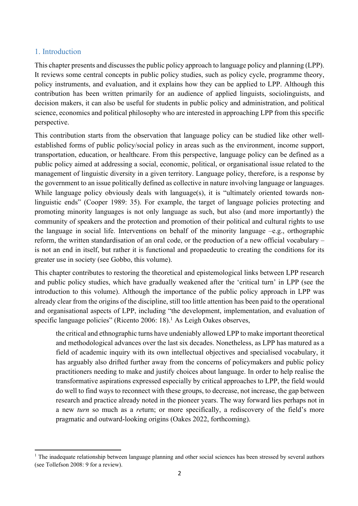#### <span id="page-2-0"></span>1. Introduction

 This chapter presents and discusses the public policy approach to language policy and planning (LPP). It reviews some central concepts in public policy studies, such as policy cycle, programme theory, policy instruments, and evaluation, and it explains how they can be applied to LPP. Although this contribution has been written primarily for an audience of applied linguists, sociolinguists, and decision makers, it can also be useful for students in public policy and administration, and political science, economics and political philosophy who are interested in approaching LPP from this specific perspective.

perspective.<br>This contribution starts from the observation that language policy can be studied like other well- established forms of public policy/social policy in areas such as the environment, income support, transportation, education, or healthcare. From this perspective, language policy can be defined as a public policy aimed at addressing a social, economic, political, or organisational issue related to the management of linguistic diversity in a given territory. Language policy, therefore, is a response by the government to an issue politically defined as collective in nature involving language or languages. While language policy obviously deals with language(s), it is "ultimately oriented towards non- linguistic ends" (Cooper 1989: 35). For example, the target of language policies protecting and promoting minority languages is not only language as such, but also (and more importantly) the community of speakers and the protection and promotion of their political and cultural rights to use the language in social life. Interventions on behalf of the minority language –e.g., orthographic reform, the written standardisation of an oral code, or the production of a new official vocabulary – is not an end in itself, but rather it is functional and propaedeutic to creating the conditions for its greater use in society (see Gobbo, this volume).

 This chapter contributes to restoring the theoretical and epistemological links between LPP research and public policy studies, which have gradually weakened after the 'critical turn' in LPP (see the introduction to this volume). Although the importance of the public policy approach in LPP was already clear from the origins of the discipline, still too little attention has been paid to the operational and organisational aspects of LPP, including "the development, implementation, and evaluation of specific language policies" (Ricento 2006: 18).<sup>1</sup> As Leigh Oakes observes,

 the critical and ethnographic turns have undeniably allowed LPP to make important theoretical and methodological advances over the last six decades. Nonetheless, as LPP has matured as a field of academic inquiry with its own intellectual objectives and specialised vocabulary, it has arguably also drifted further away from the concerns of policymakers and public policy practitioners needing to make and justify choices about language. In order to help realise the transformative aspirations expressed especially by critical approaches to LPP, the field would do well to find ways to reconnect with these groups, to decrease, not increase, the gap between research and practice already noted in the pioneer years. The way forward lies perhaps not in a new *turn* so much as a *re*turn; or more specifically, a rediscovery of the field's more pragmatic and outward-looking origins (Oakes 2022, forthcoming).

 $<sup>1</sup>$  The inadequate relationship between language planning and other social sciences has been stressed by several authors</sup> (see Tollefson 2008: 9 for a review).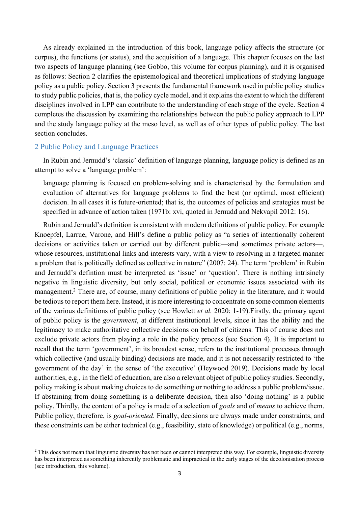As already explained in the introduction of this book, language policy affects the structure (or corpus), the functions (or status), and the acquisition of a language. This chapter focuses on the last two aspects of language planning (see Gobbo, this volume for corpus planning), and it is organised as follows: Section 2 clarifies the epistemological and theoretical implications of studying language policy as a public policy. Section 3 presents the fundamental framework used in public policy studies to study public policies, that is, the policy cycle model, and it explains the extent to which the different disciplines involved in LPP can contribute to the understanding of each stage of the cycle. Section 4 completes the discussion by examining the relationships between the public policy approach to LPP and the study language policy at the meso level, as well as of other types of public policy. The last section concludes.

#### 2 Public Policy and Language Practices

 In Rubin and Jernudd's 'classic' definition of language planning, language policy is defined as an attempt to solve a 'language problem':

 language planning is focused on problem-solving and is characterised by the formulation and evaluation of alternatives for language problems to find the best (or optimal, most efficient) decision. In all cases it is future-oriented; that is, the outcomes of policies and strategies must be specified in advance of action taken (1971b: xvi, quoted in Jernudd and Nekvapil 2012: 16).

 Rubin and Jernudd's definition is consistent with modern definitions of public policy. For example Knoepfel, Larrue, Varone, and Hill's define a public policy as "a series of intentionally coherent decisions or activities taken or carried out by different public—and sometimes private actors—, whose resources, institutional links and interests vary, with a view to resolving in a targeted manner a problem that is politically defined as collective in nature" (2007: 24). The term 'problem' in Rubin and Jernudd's defintion must be interpreted as 'issue' or 'question'. There is nothing intrisincly negative in linguistic diversity, but only social, political or economic issues associated with its management.<sup>2</sup> There are, of course, many definitions of public policy in the literature, and it would be tedious to report them here. Instead, it is more interesting to concentrate on some common elements of the various definitions of public policy (see Howlett *et al.* 2020: 1-19).Firstly, the primary agent of public policy is the *government*, at different institutional levels, since it has the ability and the legitimacy to make authoritative collective decisions on behalf of citizens. This of course does not exclude private actors from playing a role in the policy process (see Section 4). It is important to recall that the term 'government', in its broadest sense, refers to the institutional processes through which collective (and usually binding) decisions are made, and it is not necessarily restricted to 'the government of the day' in the sense of 'the executive' (Heywood 2019). Decisions made by local authorities, e.g., in the field of education, are also a relevant object of public policy studies. Secondly, policy making is about making choices to do something or nothing to address a public problem/issue. If abstaining from doing something is a deliberate decision, then also 'doing nothing' is a public policy. Thirdly, the content of a policy is made of a selection of *goals* and of *means* to achieve them. Public policy, therefore, is *goal-oriented*. Finally, decisions are always made under constraints, and these constraints can be either technical (e.g., feasibility, state of knowledge) or political (e.g., norms,

 $2$  This does not mean that linguistic diversity has not been or cannot interpreted this way. For example, linguistic diversity has been interpreted as something inherently problematic and impractical in the early stages of the decolonisation process (see introduction, this volume).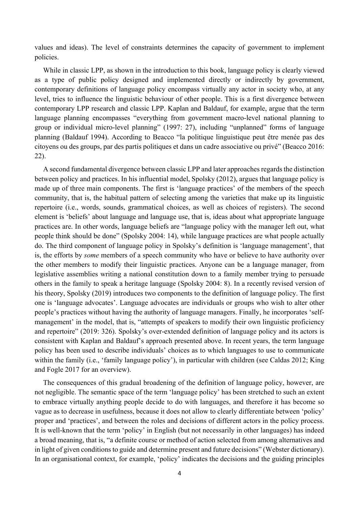values and ideas). The level of constraints determines the capacity of government to implement policies.

 While in classic LPP, as shown in the introduction to this book, language policy is clearly viewed as a type of public policy designed and implemented directly or indirectly by government, contemporary definitions of language policy encompass virtually any actor in society who, at any level, tries to influence the linguistic behaviour of other people. This is a first divergence between contemporary LPP research and classic LPP. Kaplan and Baldauf, for example, argue that the term language planning encompasses "everything from government macro-level national planning to group or individual micro-level planning" (1997: 27), including "unplanned" forms of language planning (Baldauf 1994). According to Beacco "la politique linguistique peut être menée pas des citoyens ou des groups, par des partis politiques et dans un cadre associative ou privé" (Beacco 2016: 22).

 A second fundamental divergence between classic LPP and later approaches regards the distinction between policy and practices. In his influential model, Spolsky (2012), argues that language policy is made up of three main components. The first is 'language practices' of the members of the speech community, that is, the habitual pattern of selecting among the varieties that make up its linguistic repertoire (i.e., words, sounds, grammatical choices, as well as choices of registers). The second element is 'beliefs' about language and language use, that is, ideas about what appropriate language practices are. In other words, language beliefs are "language policy with the manager left out, what people think should be done" (Spolsky 2004: 14), while language practices are what people actually do. The third component of language policy in Spolsky's definition is 'language management', that is, the efforts by *some* members of a speech community who have or believe to have authority over the other members to modify their linguistic practices. Anyone can be a language manager, from legislative assemblies writing a national constitution down to a family member trying to persuade others in the family to speak a heritage language (Spolsky 2004: 8). In a recently revised version of his theory, Spolsky (2019) introduces two components to the definition of language policy. The first one is 'language advocates'. Language advocates are individuals or groups who wish to alter other people's practices without having the authority of language managers. Finally, he incorporates 'self- management' in the model, that is, "attempts of speakers to modify their own linguistic proficiency and repertoire" (2019: 326). Spolsky's over-extended definition of language policy and its actors is consistent with Kaplan and Baldauf's approach presented above. In recent years, the term language policy has been used to describe individuals' choices as to which languages to use to communicate within the family (i.e., 'family language policy'), in particular with children (see Caldas 2012; King and Fogle 2017 for an overview).

 The consequences of this gradual broadening of the definition of language policy, however, are not negligible. The semantic space of the term 'language policy' has been stretched to such an extent to embrace virtually anything people decide to do with languages, and therefore it has become so vague as to decrease in usefulness, because it does not allow to clearly differentiate between 'policy' proper and 'practices', and between the roles and decisions of different actors in the policy process. It is well-known that the term 'policy' in English (but not necessarily in other languages) has indeed a broad meaning, that is, "a definite course or method of action selected from among alternatives and in light of given conditions to guide and determine present and future decisions" (Webster dictionary). In an organisational context, for example, 'policy' indicates the decisions and the guiding principles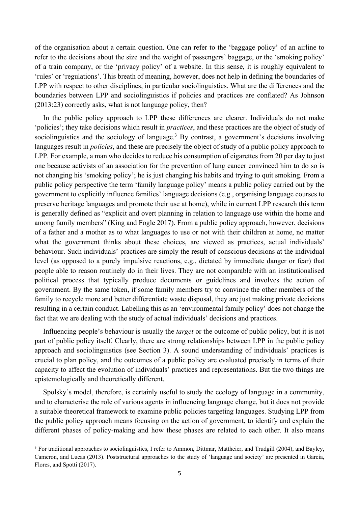of the organisation about a certain question. One can refer to the 'baggage policy' of an airline to refer to the decisions about the size and the weight of passengers' baggage, or the 'smoking policy' of a train company, or the 'privacy policy' of a website. In this sense, it is roughly equivalent to 'rules' or 'regulations'. This breath of meaning, however, does not help in defining the boundaries of LPP with respect to other disciplines, in particular sociolinguistics. What are the differences and the boundaries between LPP and sociolinguistics if policies and practices are conflated? As Johnson (2013:23) correctly asks, what is not language policy, then?

 In the public policy approach to LPP these differences are clearer. Individuals do not make 'policies'; they take decisions which result in *practices*, and these practices are the object of study of sociolinguistics and the sociology of language.<sup>3</sup> By contrast, a government's decisions involving languages result in *policies*, and these are precisely the object of study of a public policy approach to LPP. For example, a man who decides to reduce his consumption of cigarettes from 20 per day to just one because activists of an association for the prevention of lung cancer convinced him to do so is not changing his 'smoking policy'; he is just changing his habits and trying to quit smoking. From a public policy perspective the term 'family language policy' means a public policy carried out by the government to explicitly influence families' language decisions (e.g., organising language courses to preserve heritage languages and promote their use at home), while in current LPP research this term is generally defined as "explicit and overt planning in relation to language use within the home and among family members" (King and Fogle 2017). From a public policy approach, however, decisions of a father and a mother as to what languages to use or not with their children at home, no matter what the government thinks about these choices, are viewed as practices, actual individuals' behaviour. Such individuals' practices are simply the result of conscious decisions at the individual level (as opposed to a purely impulsive reactions, e.g., dictated by immediate danger or fear) that people able to reason routinely do in their lives. They are not comparable with an institutionalised political process that typically produce documents or guidelines and involves the action of government. By the same token, if some family members try to convince the other members of the family to recycle more and better differentiate waste disposal, they are just making private decisions resulting in a certain conduct. Labelling this as an 'environmental family policy' does not change the fact that we are dealing with the study of actual individuals' decisions and practices. fact that we are dealing with the study of actual individuals' decisions and practices. Influencing people's behaviour is usually the *target* or the outcome of public policy, but it is not

 part of public policy itself. Clearly, there are strong relationships between LPP in the public policy approach and sociolinguistics (see Section 3). A sound understanding of individuals' practices is crucial to plan policy, and the outcomes of a public policy are evaluated precisely in terms of their capacity to affect the evolution of individuals' practices and representations. But the two things are epistemologically and theoretically different. epistemologically and theoretically different. Spolsky's model, therefore, is certainly useful to study the ecology of language in a community,

 and to characterise the role of various agents in influencing language change, but it does not provide a suitable theoretical framework to examine public policies targeting languages. Studying LPP from the public policy approach means focusing on the action of government, to identify and explain the different phases of policy-making and how these phases are related to each other. It also means

<sup>&</sup>lt;sup>3</sup> For traditional approaches to sociolinguistics, I refer to Ammon, Dittmar, Mattheier, and Trudgill (2004), and Bayley, Cameron, and Lucas (2013). Poststructural approaches to the study of 'language and society' are presented in García, Flores, and Spotti (2017).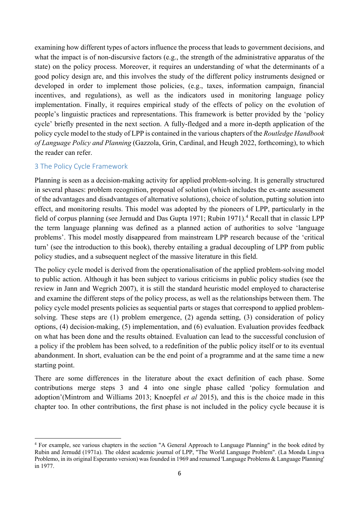examining how different types of actors influence the process that leads to government decisions, and what the impact is of non-discursive factors (e.g., the strength of the administrative apparatus of the state) on the policy process. Moreover, it requires an understanding of what the determinants of a good policy design are, and this involves the study of the different policy instruments designed or developed in order to implement those policies, (e.g., taxes, information campaign, financial incentives, and regulations), as well as the indicators used in monitoring language policy implementation. Finally, it requires empirical study of the effects of policy on the evolution of people's linguistic practices and representations. This framework is better provided by the 'policy cycle' briefly presented in the next section. A fully-fledged and a more in-depth application of the policy cycle model to the study of LPP is contained in the various chapters of the *Routledge Handbook of Language Policy and Planning* (Gazzola, Grin, Cardinal, and Heugh 2022, forthcoming), to which the reader can refer.

#### 3 The Policy Cycle Framework

 Planning is seen as a decision-making activity for applied problem-solving. It is generally structured in several phases: problem recognition, proposal of solution (which includes the ex-ante assessment of the advantages and disadvantages of alternative solutions), choice of solution, putting solution into effect, and monitoring results. This model was adopted by the pioneers of LPP, particularly in the field of corpus planning (see Jernudd and Das Gupta 1971; Rubin 1971).<sup>4</sup> Recall that in classic LPP the term language planning was defined as a planned action of authorities to solve 'language problems'. This model mostly disappeared from mainstream LPP research because of the 'critical turn' (see the introduction to this book), thereby entailing a gradual decoupling of LPP from public policy studies, and a subsequent neglect of the massive literature in this field.

 The policy cycle model is derived from the operationalisation of the applied problem-solving model to public action. Although it has been subject to various criticisms in public policy studies (see the review in Jann and Wegrich 2007), it is still the standard heuristic model employed to characterise and examine the different steps of the policy process, as well as the relationships between them. The policy cycle model presents policies as sequential parts or stages that correspond to applied problem- solving. These steps are (1) problem emergence, (2) agenda setting, (3) consideration of policy on what has been done and the results obtained. Evaluation can lead to the successful conclusion of a policy if the problem has been solved, to a redefinition of the public policy itself or to its eventual abandonment. In short, evaluation can be the end point of a programme and at the same time a new options, (4) decision-making, (5) implementation, and (6) evaluation. Evaluation provides feedback starting point.

 There are some differences in the literature about the exact definition of each phase. Some contributions merge steps 3 and 4 into one single phase called 'policy formulation and adoption'(Mintrom and Williams 2013; Knoepfel *et al* 2015), and this is the choice made in this chapter too. In other contributions, the first phase is not included in the policy cycle because it is

<sup>&</sup>lt;sup>4</sup> For example, see various chapters in the section "A General Approach to Language Planning" in the book edited by Rubin and Jernudd (1971a). The oldest academic journal of LPP, "The World Language Problem". (La Monda Lingva Problemo, in its original Esperanto version) was founded in 1969 and renamed 'Language Problems & Language Planning' in 1977.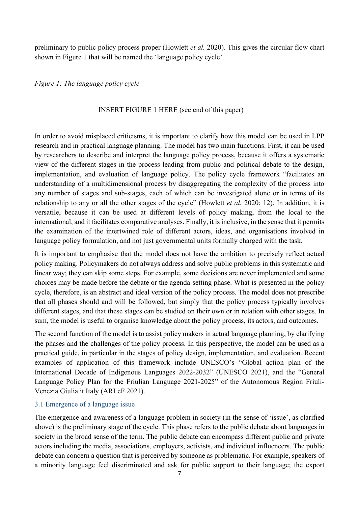preliminary to public policy process proper (Howlett *et al.* 2020). This gives the circular flow chart shown in Figure 1 that will be named the 'language policy cycle'.

*Figure 1: The language policy cycle* 

#### INSERT FIGURE 1 HERE (see end of this paper)

 In order to avoid misplaced criticisms, it is important to clarify how this model can be used in LPP research and in practical language planning. The model has two main functions. First, it can be used by researchers to describe and interpret the language policy process, because it offers a systematic view of the different stages in the process leading from public and political debate to the design, implementation, and evaluation of language policy. The policy cycle framework "facilitates an understanding of a multidimensional process by disaggregating the complexity of the process into any number of stages and sub-stages, each of which can be investigated alone or in terms of its relationship to any or all the other stages of the cycle" (Howlett *et al.* 2020: 12). In addition, it is versatile, because it can be used at different levels of policy making, from the local to the international, and it facilitates comparative analyses. Finally, it is inclusive, in the sense that it permits the examination of the intertwined role of different actors, ideas, and organisations involved in language policy formulation, and not just governmental units formally charged with the task.

 It is important to emphasise that the model does not have the ambition to precisely reflect actual policy making. Policymakers do not always address and solve public problems in this systematic and linear way; they can skip some steps. For example, some decisions are never implemented and some choices may be made before the debate or the agenda-setting phase. What is presented in the policy cycle, therefore, is an abstract and ideal version of the policy process. The model does not prescribe that all phases should and will be followed, but simply that the policy process typically involves different stages, and that these stages can be studied on their own or in relation with other stages. In sum, the model is useful to organise knowledge about the policy process, its actors, and outcomes.

 The second function of the model is to assist policy makers in actual language planning, by clarifying the phases and the challenges of the policy process. In this perspective, the model can be used as a practical guide, in particular in the stages of policy design, implementation, and evaluation. Recent examples of application of this framework include UNESCO's "Global action plan of the International Decade of Indigenous Languages 2022-2032" (UNESCO 2021), and the "General Language Policy Plan for the Friulian Language 2021-2025" of the Autonomous Region Friuli-Venezia Giulia it Italy (ARLeF 2021).

#### 3.1 Emergence of a language issue

 The emergence and awareness of a language problem in society (in the sense of 'issue', as clarified above) is the preliminary stage of the cycle. This phase refers to the public debate about languages in society in the broad sense of the term. The public debate can encompass different public and private actors including the media, associations, employers, activists, and individual influencers. The public debate can concern a question that is perceived by someone as problematic. For example, speakers of a minority language feel discriminated and ask for public support to their language; the export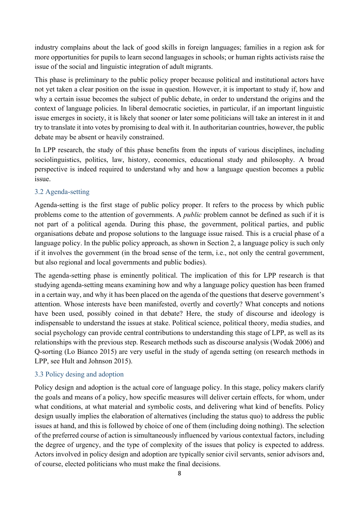industry complains about the lack of good skills in foreign languages; families in a region ask for more opportunities for pupils to learn second languages in schools; or human rights activists raise the issue of the social and linguistic integration of adult migrants.

 This phase is preliminary to the public policy proper because political and institutional actors have not yet taken a clear position on the issue in question. However, it is important to study if, how and why a certain issue becomes the subject of public debate, in order to understand the origins and the context of language policies. In liberal democratic societies, in particular, if an important linguistic issue emerges in society, it is likely that sooner or later some politicians will take an interest in it and try to translate it into votes by promising to deal with it. In authoritarian countries, however, the public debate may be absent or heavily constrained.

 In LPP research, the study of this phase benefits from the inputs of various disciplines, including perspective is indeed required to understand why and how a language question becomes a public sociolinguistics, politics, law, history, economics, educational study and philosophy. A broad issue.

#### 3.2 Agenda-setting

 Agenda-setting is the first stage of public policy proper. It refers to the process by which public problems come to the attention of governments. A *public* problem cannot be defined as such if it is not part of a political agenda. During this phase, the government, political parties, and public organisations debate and propose solutions to the language issue raised. This is a crucial phase of a language policy. In the public policy approach, as shown in Section 2, a language policy is such only if it involves the government (in the broad sense of the term, i.e., not only the central government, but also regional and local governments and public bodies).

 The agenda-setting phase is eminently political. The implication of this for LPP research is that studying agenda-setting means examining how and why a language policy question has been framed in a certain way, and why it has been placed on the agenda of the questions that deserve government's attention. Whose interests have been manifested, overtly and covertly? What concepts and notions have been used, possibly coined in that debate? Here, the study of discourse and ideology is indispensable to understand the issues at stake. Political science, political theory, media studies, and social psychology can provide central contributions to understanding this stage of LPP, as well as its relationships with the previous step. Research methods such as discourse analysis (Wodak 2006) and Q-sorting (Lo Bianco 2015) are very useful in the study of agenda setting (on research methods in LPP, see Hult and Johnson 2015).

#### 3.3 Policy desing and adoption

 Policy design and adoption is the actual core of language policy. In this stage, policy makers clarify the goals and means of a policy, how specific measures will deliver certain effects, for whom, under what conditions, at what material and symbolic costs, and delivering what kind of benefits. Policy design usually implies the elaboration of alternatives (including the status quo) to address the public issues at hand, and this is followed by choice of one of them (including doing nothing). The selection of the preferred course of action is simultaneously influenced by various contextual factors, including the degree of urgency, and the type of complexity of the issues that policy is expected to address. Actors involved in policy design and adoption are typically senior civil servants, senior advisors and, of course, elected politicians who must make the final decisions.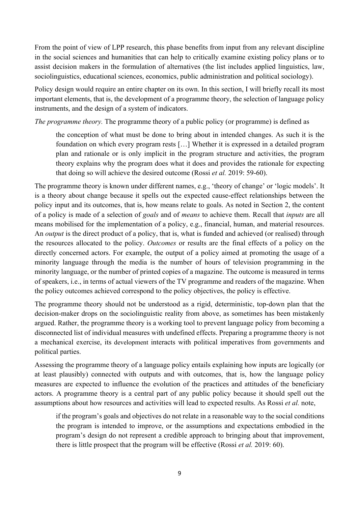From the point of view of LPP research, this phase benefits from input from any relevant discipline in the social sciences and humanities that can help to critically examine existing policy plans or to assist decision makers in the formulation of alternatives (the list includes applied linguistics, law, sociolinguistics, educational sciences, economics, public administration and political sociology).

 Policy design would require an entire chapter on its own. In this section, I will briefly recall its most important elements, that is, the development of a programme theory, the selection of language policy instruments, and the design of a system of indicators.

*The programme theory*. The programme theory of a public policy (or programme) is defined as the conception of what must be done to bring about in intended changes. As such it is the the conception of what must be done to bring about in intended changes. As such it is the foundation on which every program rests […] Whether it is expressed in a detailed program plan and rationale or is only implicit in the program structure and activities, the program theory explains why the program does what it does and provides the rationale for expecting that doing so will achieve the desired outcome (Rossi *et al.* 2019: 59-60).

 The programme theory is known under different names, e.g., 'theory of change' or 'logic models'. It is a theory about change because it spells out the expected cause-effect relationships between the policy input and its outcomes, that is, how means relate to goals. As noted in Section 2, the content of a policy is made of a selection of *goals* and of *means* to achieve them. Recall that *inputs* are all means mobilised for the implementation of a policy, e.g., financial, human, and material resources. An *output* is the direct product of a policy, that is, what is funded and achieved (or realised) through the resources allocated to the policy. *Outcomes* or results are the final effects of a policy on the directly concerned actors. For example, the output of a policy aimed at promoting the usage of a minority language through the media is the number of hours of television programming in the minority language, or the number of printed copies of a magazine. The outcome is measured in terms of speakers, i.e., in terms of actual viewers of the TV programme and readers of the magazine. When the policy outcomes achieved correspond to the policy objectives, the policy is effective.

 The programme theory should not be understood as a rigid, deterministic, top-down plan that the decision-maker drops on the sociolinguistic reality from above, as sometimes has been mistakenly argued. Rather, the programme theory is a working tool to prevent language policy from becoming a disconnected list of individual measures with undefined effects. Preparing a programme theory is not a mechanical exercise, its development interacts with political imperatives from governments and political parties.

 Assessing the programme theory of a language policy entails explaining how inputs are logically (or at least plausibly) connected with outputs and with outcomes, that is, how the language policy measures are expected to influence the evolution of the practices and attitudes of the beneficiary actors. A programme theory is a central part of any public policy because it should spell out the assumptions about how resources and activities will lead to expected results. As Rossi *et al.* note,

 if the program's goals and objectives do not relate in a reasonable way to the social conditions the program is intended to improve, or the assumptions and expectations embodied in the program's design do not represent a credible approach to bringing about that improvement, there is little prospect that the program will be effective (Rossi *et al.* 2019: 60).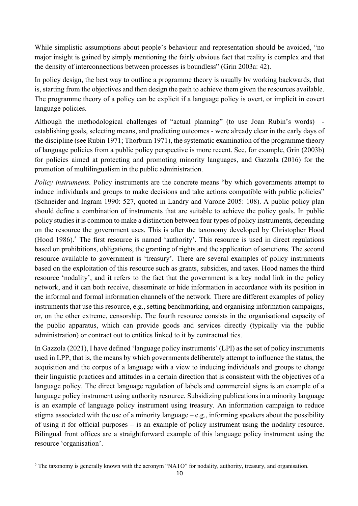While simplistic assumptions about people's behaviour and representation should be avoided, "no major insight is gained by simply mentioning the fairly obvious fact that reality is complex and that the density of interconnections between processes is boundless" (Grin 2003a: 42).

 In policy design, the best way to outline a programme theory is usually by working backwards, that is, starting from the objectives and then design the path to achieve them given the resources available. The programme theory of a policy can be explicit if a language policy is overt, or implicit in covert language policies.

 Although the methodological challenges of "actual planning" (to use Joan Rubin's words) - establishing goals, selecting means, and predicting outcomes - were already clear in the early days of the discipline (see Rubin 1971; Thorburn 1971), the systematic examination of the programme theory of language policies from a public policy perspective is more recent. See, for example, Grin (2003b) for policies aimed at protecting and promoting minority languages, and Gazzola (2016) for the promotion of multilingualism in the public administration.

 *Policy instruments.* Policy instruments are the concrete means "by which governments attempt to induce individuals and groups to make decisions and take actions compatible with public policies" (Schneider and Ingram 1990: 527, quoted in Landry and Varone 2005: 108). A public policy plan should define a combination of instruments that are suitable to achieve the policy goals. In public policy studies it is common to make a distinction between four types of policy instruments, depending on the resource the government uses. This is after the taxonomy developed by Christopher Hood (Hood  $1986$ ).<sup>5</sup> The first resource is named 'authority'. This resource is used in direct regulations based on prohibitions, obligations, the granting of rights and the application of sanctions. The second resource available to government is 'treasury'. There are several examples of policy instruments based on the exploitation of this resource such as grants, subsidies, and taxes. Hood names the third resource 'nodality', and it refers to the fact that the government is a key nodal link in the policy network, and it can both receive, disseminate or hide information in accordance with its position in the informal and formal information channels of the network. There are different examples of policy instruments that use this resource, e.g., setting benchmarking, and organising information campaigns, or, on the other extreme, censorship. The fourth resource consists in the organisational capacity of the public apparatus, which can provide goods and services directly (typically via the public administration) or contract out to entities linked to it by contractual ties.

 In Gazzola (2021), I have defined 'language policy instruments' (LPI) as the set of policy instruments used in LPP, that is, the means by which governments deliberately attempt to influence the status, the acquisition and the corpus of a language with a view to inducing individuals and groups to change their linguistic practices and attitudes in a certain direction that is consistent with the objectives of a language policy. The direct language regulation of labels and commercial signs is an example of a language policy instrument using authority resource. Subsidizing publications in a minority language is an example of language policy instrument using treasury. An information campaign to reduce stigma associated with the use of a minority language – e.g., informing speakers about the possibility of using it for official purposes – is an example of policy instrument using the nodality resource. Bilingual front offices are a straightforward example of this language policy instrument using the resource 'organisation'.

 $<sup>5</sup>$  The taxonomy is generally known with the acronym "NATO" for nodality, authority, treasury, and organisation.</sup>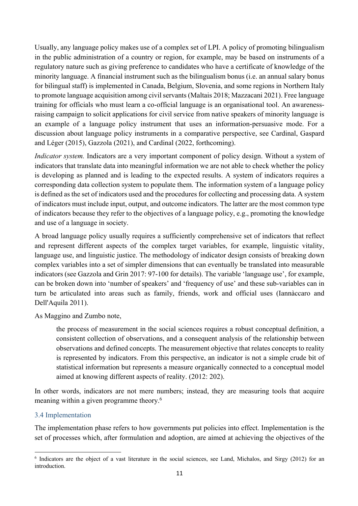Usually, any language policy makes use of a complex set of LPI. A policy of promoting bilingualism in the public administration of a country or region, for example, may be based on instruments of a regulatory nature such as giving preference to candidates who have a certificate of knowledge of the minority language. A financial instrument such as the bilingualism bonus (i.e. an annual salary bonus for bilingual staff) is implemented in Canada, Belgium, Slovenia, and some regions in Northern Italy to promote language acquisition among civil servants (Maltais 2018; Mazzacani 2021). Free language training for officials who must learn a co-official language is an organisational tool. An awareness- raising campaign to solicit applications for civil service from native speakers of minority language is an example of a language policy instrument that uses an information-persuasive mode. For a discussion about language policy instruments in a comparative perspective, see Cardinal, Gaspard and Léger (2015), Gazzola (2021), and Cardinal (2022, forthcoming).

 *Indicator system.* Indicators are a very important component of policy design. Without a system of indicators that translate data into meaningful information we are not able to check whether the policy is developing as planned and is leading to the expected results. A system of indicators requires a corresponding data collection system to populate them. The information system of a language policy is defined as the set of indicators used and the procedures for collecting and processing data. A system of indicators must include input, output, and outcome indicators. The latter are the most common type of indicators because they refer to the objectives of a language policy, e.g., promoting the knowledge and use of a language in society.

 A broad language policy usually requires a sufficiently comprehensive set of indicators that reflect and represent different aspects of the complex target variables, for example, linguistic vitality, language use, and linguistic justice. The methodology of indicator design consists of breaking down complex variables into a set of simpler dimensions that can eventually be translated into measurable indicators (see Gazzola and Grin 2017: 97-100 for details). The variable 'language use', for example, can be broken down into 'number of speakers' and 'frequency of use' and these sub-variables can in turn be articulated into areas such as family, friends, work and official uses (Iannàccaro and Dell'Aquila 2011).

As Maggino and Zumbo note,

 the process of measurement in the social sciences requires a robust conceptual definition, a consistent collection of observations, and a consequent analysis of the relationship between observations and defined concepts. The measurement objective that relates concepts to reality is represented by indicators. From this perspective, an indicator is not a simple crude bit of statistical information but represents a measure organically connected to a conceptual model aimed at knowing different aspects of reality. (2012: 202).

 In other words, indicators are not mere numbers; instead, they are measuring tools that acquire meaning within a given programme theory.6

#### 3.4 Implementation

 The implementation phase refers to how governments put policies into effect. Implementation is the set of processes which, after formulation and adoption, are aimed at achieving the objectives of the

<sup>&</sup>lt;sup>6</sup> Indicators are the object of a vast literature in the social sciences, see Land, Michalos, and Sirgy (2012) for an introduction.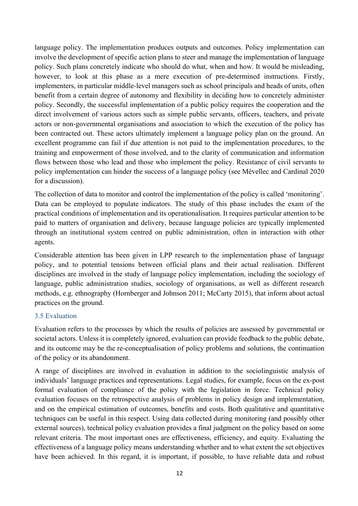language policy. The implementation produces outputs and outcomes. Policy implementation can involve the development of specific action plans to steer and manage the implementation of language policy. Such plans concretely indicate who should do what, when and how. It would be misleading, however, to look at this phase as a mere execution of pre-determined instructions. Firstly, implementers, in particular middle-level managers such as school principals and heads of units, often benefit from a certain degree of autonomy and flexibility in deciding how to concretely administer policy. Secondly, the successful implementation of a public policy requires the cooperation and the direct involvement of various actors such as simple public servants, officers, teachers, and private actors or non-governmental organisations and association to which the execution of the policy has been contracted out. These actors ultimately implement a language policy plan on the ground. An excellent programme can fail if due attention is not paid to the implementation procedures, to the training and empowerment of those involved, and to the clarity of communication and information flows between those who lead and those who implement the policy. Resistance of civil servants to policy implementation can hinder the success of a language policy (see Mévellec and Cardinal 2020 for a discussion).

 The collection of data to monitor and control the implementation of the policy is called 'monitoring'. Data can be employed to populate indicators. The study of this phase includes the exam of the practical conditions of implementation and its operationalisation. It requires particular attention to be paid to matters of organisation and delivery, because language policies are typically implemented through an institutional system centred on public administration, often in interaction with other agents.

 Considerable attention has been given in LPP research to the implementation phase of language policy, and to potential tensions between official plans and their actual realisation. Different disciplines are involved in the study of language policy implementation, including the sociology of language, public administration studies, sociology of organisations, as well as different research methods, e.g. ethnography (Hornberger and Johnson 2011; McCarty 2015), that inform about actual practices on the ground.

#### 3.5 Evaluation

 Evaluation refers to the processes by which the results of policies are assessed by governmental or societal actors. Unless it is completely ignored, evaluation can provide feedback to the public debate, and its outcome may be the re-conceptualisation of policy problems and solutions, the continuation of the policy or its abandonment.

 A range of disciplines are involved in evaluation in addition to the sociolinguistic analysis of individuals' language practices and representations. Legal studies, for example, focus on the ex-post formal evaluation of compliance of the policy with the legislation in force. Technical policy evaluation focuses on the retrospective analysis of problems in policy design and implementation, and on the empirical estimation of outcomes, benefits and costs. Both qualitative and quantitative techniques can be useful in this respect. Using data collected during monitoring (and possibly other external sources), technical policy evaluation provides a final judgment on the policy based on some relevant criteria. The most important ones are effectiveness, efficiency, and equity. Evaluating the effectiveness of a language policy means understanding whether and to what extent the set objectives have been achieved. In this regard, it is important, if possible, to have reliable data and robust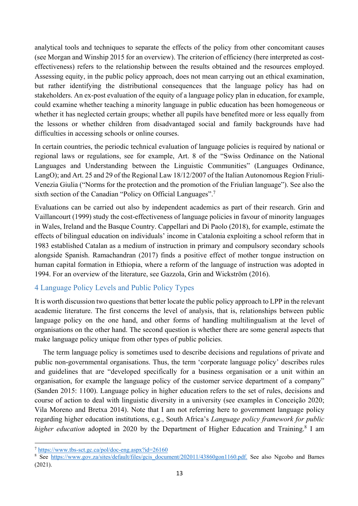analytical tools and techniques to separate the effects of the policy from other concomitant causes effectiveness) refers to the relationship between the results obtained and the resources employed. Assessing equity, in the public policy approach, does not mean carrying out an ethical examination, but rather identifying the distributional consequences that the language policy has had on stakeholders. An ex-post evaluation of the equity of a language policy plan in education, for example, could examine whether teaching a minority language in public education has been homogeneous or whether it has neglected certain groups; whether all pupils have benefited more or less equally from the lessons or whether children from disadvantaged social and family backgrounds have had (see Morgan and Winship 2015 for an overview). The criterion of efficiency (here interpreted as costdifficulties in accessing schools or online courses.

 In certain countries, the periodic technical evaluation of language policies is required by national or regional laws or regulations, see for example, Art. 8 of the "Swiss Ordinance on the National Languages and Understanding between the Linguistic Communities" (Languages Ordinance, LangO); and Art. 25 and 29 of the Regional Law 18/12/2007 of the Italian Autonomous Region Friuli- Venezia Giulia ("Norms for the protection and the promotion of the Friulian language"). See also the sixth section of the Canadian "Policy on Official Languages".<sup>7</sup>

 Evaluations can be carried out also by independent academics as part of their research. Grin and Vaillancourt (1999) study the cost-effectiveness of language policies in favour of minority languages in Wales, Ireland and the Basque Country. Cappellari and Di Paolo (2018), for example, estimate the effects of bilingual education on individuals' income in Catalonia exploiting a school reform that in 1983 established Catalan as a medium of instruction in primary and compulsory secondary schools alongside Spanish. Ramachandran (2017) finds a positive effect of mother tongue instruction on human capital formation in Ethiopia, where a reform of the language of instruction was adopted in 1994. For an overview of the literature, see Gazzola, Grin and Wickström (2016).

#### 4 Language Policy Levels and Public Policy Types

 It is worth discussion two questions that better locate the public policy approach to LPP in the relevant academic literature. The first concerns the level of analysis, that is, relationships between public language policy on the one hand, and other forms of handling multilingualism at the level of organisations on the other hand. The second question is whether there are some general aspects that make language policy unique from other types of public policies.

 The term language policy is sometimes used to describe decisions and regulations of private and public non-governmental organisations. Thus, the term 'corporate language policy' describes rules and guidelines that are "developed specifically for a business organisation or a unit within an organisation, for example the language policy of the customer service department of a company" (Sanden 2015: 1100). Language policy in higher education refers to the set of rules, decisions and course of action to deal with linguistic diversity in a university (see examples in Conceição 2020; Vila Moreno and Bretxa 2014). Note that I am not referring here to government language policy  regarding higher education institutions, e.g., South Africa's *Language policy framework for public*  higher education adopted in 2020 by the Department of Higher Education and Training.<sup>8</sup> I am

<sup>&</sup>lt;sup>7</sup> https://www.tbs-sct.gc.ca/pol/doc-eng.aspx?id=26160

 $\frac{7 \text{ https://www.tbs-sct.gc.ca/pol/doc-eng.aspx?id=26160}}{8 \text{ See } \text{https://www.gov.za/sites/default/files/gcis document/202011/43860gon1160.pdf.}$  $\frac{7 \text{ https://www.tbs-sct.gc.ca/pol/doc-eng.aspx?id=26160}}{8 \text{ See } \text{https://www.gov.za/sites/default/files/gcis document/202011/43860gon1160.pdf.}$  $\frac{7 \text{ https://www.tbs-sct.gc.ca/pol/doc-eng.aspx?id=26160}}{8 \text{ See } \text{https://www.gov.za/sites/default/files/gcis document/202011/43860gon1160.pdf.}$  See also Ngcobo and Barnes (2021).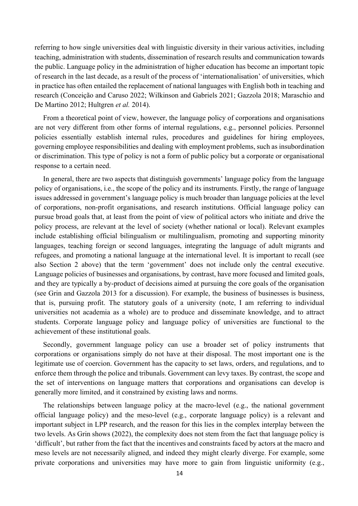referring to how single universities deal with linguistic diversity in their various activities, including the public. Language policy in the administration of higher education has become an important topic of research in the last decade, as a result of the process of 'internationalisation' of universities, which in practice has often entailed the replacement of national languages with English both in teaching and De Martino 2012; Hultgren *et al.* 2014). teaching, administration with students, dissemination of research results and communication towards research (Conceição and Caruso 2022; Wilkinson and Gabriels 2021; Gazzola 2018; Maraschio and

 From a theoretical point of view, however, the language policy of corporations and organisations are not very different from other forms of internal regulations, e.g., personnel policies. Personnel or discrimination. This type of policy is not a form of public policy but a corporate or organisational policies essentially establish internal rules, procedures and guidelines for hiring employees, governing employee responsibilities and dealing with employment problems, such as insubordination response to a certain need.

 In general, there are two aspects that distinguish governments' language policy from the language policy of organisations, i.e., the scope of the policy and its instruments. Firstly, the range of language issues addressed in government's language policy is much broader than language policies at the level of corporations, non-profit organisations, and research institutions. Official language policy can pursue broad goals that, at least from the point of view of political actors who initiate and drive the policy process, are relevant at the level of society (whether national or local). Relevant examples include establishing official bilingualism or multilingualism, promoting and supporting minority languages, teaching foreign or second languages, integrating the language of adult migrants and refugees, and promoting a national language at the international level. It is important to recall (see also Section 2 above) that the term 'government' does not include only the central executive. Language policies of businesses and organisations, by contrast, have more focused and limited goals, and they are typically a by-product of decisions aimed at pursuing the core goals of the organisation (see Grin and Gazzola 2013 for a discussion). For example, the business of businesses is business, that is, pursuing profit. The statutory goals of a university (note, I am referring to individual universities not academia as a whole) are to produce and disseminate knowledge, and to attract students. Corporate language policy and language policy of universities are functional to the achievement of these institutional goals.

 Secondly, government language policy can use a broader set of policy instruments that corporations or organisations simply do not have at their disposal. The most important one is the legitimate use of coercion. Government has the capacity to set laws, orders, and regulations, and to enforce them through the police and tribunals. Government can levy taxes. By contrast, the scope and the set of interventions on language matters that corporations and organisations can develop is generally more limited, and it constrained by existing laws and norms.

 The relationships between language policy at the macro-level (e.g., the national government official language policy) and the meso-level (e.g., corporate language policy) is a relevant and important subject in LPP research, and the reason for this lies in the complex interplay between the two levels. As Grin shows (2022), the complexity does not stem from the fact that language policy is 'difficult', but rather from the fact that the incentives and constraints faced by actors at the macro and meso levels are not necessarily aligned, and indeed they might clearly diverge. For example, some private corporations and universities may have more to gain from linguistic uniformity (e.g.,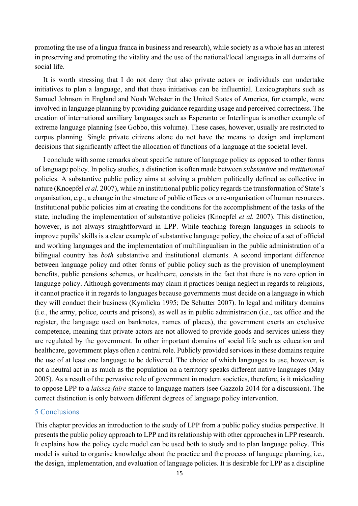promoting the use of a lingua franca in business and research), while society as a whole has an interest in preserving and promoting the vitality and the use of the national/local languages in all domains of social life.

 It is worth stressing that I do not deny that also private actors or individuals can undertake initiatives to plan a language, and that these initiatives can be influential. Lexicographers such as creation of international auxiliary languages such as Esperanto or Interlingua is another example of extreme language planning (see Gobbo, this volume). These cases, however, usually are restricted to corpus planning. Single private citizens alone do not have the means to design and implement Samuel Johnson in England and Noah Webster in the United States of America, for example, were involved in language planning by providing guidance regarding usage and perceived correctness. The decisions that significantly affect the allocation of functions of a language at the societal level.

 I conclude with some remarks about specific nature of language policy as opposed to other forms of language policy. In policy studies, a distinction is often made between *substantive* and *institutional*  policies. A substantive public policy aims at solving a problem politically defined as collective in  nature (Knoepfel *et al.* 2007), while an institutional public policy regards the transformation of State's organisation, e.g., a change in the structure of public offices or a re-organisation of human resources. Institutional public policies aim at creating the conditions for the accomplishment of the tasks of the state, including the implementation of substantive policies (Knoepfel *et al.* 2007). This distinction, however, is not always straightforward in LPP. While teaching foreign languages in schools to improve pupils' skills is a clear example of substantive language policy, the choice of a set of official and working languages and the implementation of multilingualism in the public administration of a bilingual country has *both* substantive and institutional elements. A second important difference between language policy and other forms of public policy such as the provision of unemployment benefits, public pensions schemes, or healthcare, consists in the fact that there is no zero option in language policy. Although governments may claim it practices benign neglect in regards to religions, it cannot practice it in regards to languages because governments must decide on a language in which they will conduct their business (Kymlicka 1995; De Schutter 2007). In legal and military domains (i.e., the army, police, courts and prisons), as well as in public administration (i.e., tax office and the register, the language used on banknotes, names of places), the government exerts an exclusive competence, meaning that private actors are not allowed to provide goods and services unless they are regulated by the government. In other important domains of social life such as education and healthcare, government plays often a central role. Publicly provided services in these domains require the use of at least one language to be delivered. The choice of which languages to use, however, is not a neutral act in as much as the population on a territory speaks different native languages (May 2005). As a result of the pervasive role of government in modern societies, therefore, is it misleading to oppose LPP to a *laissez-faire* stance to language matters (see Gazzola 2014 for a discussion). The correct distinction is only between different degrees of language policy intervention.

#### 5 Conclusions

 This chapter provides an introduction to the study of LPP from a public policy studies perspective. It presents the public policy approach to LPP and its relationship with other approaches in LPP research. It explains how the policy cycle model can be used both to study and to plan language policy. This model is suited to organise knowledge about the practice and the process of language planning, i.e., the design, implementation, and evaluation of language policies. It is desirable for LPP as a discipline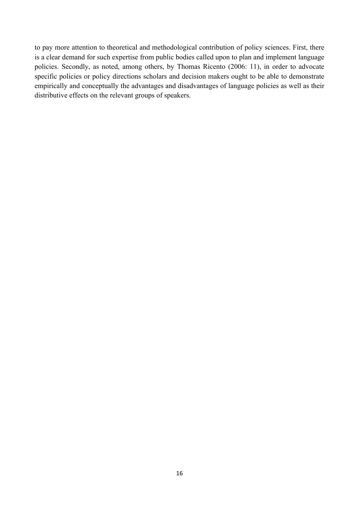is a clear demand for such expertise from public bodies called upon to plan and implement language policies. Secondly, as noted, among others, by Thomas Ricento (2006: 11), in order to advocate specific policies or policy directions scholars and decision makers ought to be able to demonstrate empirically and conceptually the advantages and disadvantages of language policies as well as their to pay more attention to theoretical and methodological contribution of policy sciences. First, there distributive effects on the relevant groups of speakers.